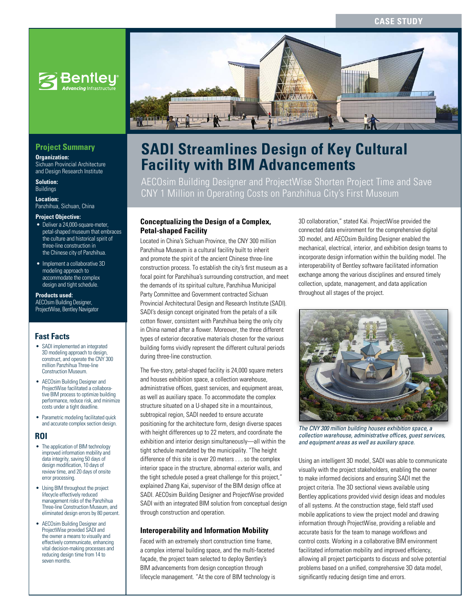## **CASE STUDY**



## **Project Summary**

**Organization:**  Sichuan Provincial Architecture and Design Research Institute

**Solution:**  Buildings

**Location:** 

Panzhihua, Sichuan, China

#### **Project Objective:**

- Deliver a 24,000-square-meter, petal-shaped museum that embraces the culture and historical spirit of three-line construction in the Chinese city of Panzhihua.
- Implement a collaborative 3D modeling approach to accommodate the complex design and tight schedule.

## **Products used:**

AECOsim Building Designer, ProjectWise, Bentley Navigator

### **Fast Facts**

- SADI implemented an integrated 3D modeling approach to design, construct, and operate the CNY 300 million Panzhihua Three-line Construction Museum.
- AECOsim Building Designer and ProjectWise facilitated a collaborative BIM process to optimize building performance, reduce risk, and minimize costs under a tight deadline.
- Parametric modeling facilitated quick and accurate complex section design.

### **ROI**

- The application of BIM technology improved information mobility and data integrity, saving 50 days of design modification, 10 days of review time, and 20 days of onsite error processing.
- Using BIM throughout the project lifecycle effectively reduced management risks of the Panzhihua Three-line Construction Museum, and eliminated design errors by 80 percent.
- AECOsim Building Designer and ProjectWise provided SADI and the owner a means to visually and effectively communicate, enhancing vital decision-making processes and reducing design time from 14 to seven months.



# **SADI Streamlines Design of Key Cultural Facility with BIM Advancements**

AECOsim Building Designer and ProjectWise Shorten Project Time and Save CNY 1 Million in Operating Costs on Panzhihua City's First Museum

### **Conceptualizing the Design of a Complex, Petal-shaped Facility**

Located in China's Sichuan Province, the CNY 300 million Panzhihua Museum is a cultural facility built to inherit and promote the spirit of the ancient Chinese three-line construction process. To establish the city's first museum as a focal point for Panzhihua's surrounding construction, and meet the demands of its spiritual culture, Panzhihua Municipal Party Committee and Government contracted Sichuan Provincial Architectural Design and Research Institute (SADI). SADI's design concept originated from the petals of a silk cotton flower, consistent with Panzhihua being the only city in China named after a flower. Moreover, the three different types of exterior decorative materials chosen for the various building forms vividly represent the different cultural periods during three-line construction.

The five-story, petal-shaped facility is 24,000 square meters and houses exhibition space, a collection warehouse, administrative offices, guest services, and equipment areas, as well as auxiliary space. To accommodate the complex structure situated on a U-shaped site in a mountainous, subtropical region, SADI needed to ensure accurate positioning for the architecture form, design diverse spaces with height differences up to 22 meters, and coordinate the exhibition and interior design simultaneously—all within the tight schedule mandated by the municipality. "The height difference of this site is over 20 meters . . . so the complex interior space in the structure, abnormal exterior walls, and the tight schedule posed a great challenge for this project," explained Zhang Kai, supervisor of the BIM design office at SADI. AECOsim Building Designer and ProjectWise provided SADI with an integrated BIM solution from conceptual design through construction and operation.

### **Interoperability and Information Mobility**

Faced with an extremely short construction time frame, a complex internal building space, and the multi-faceted façade, the project team selected to deploy Bentley's BIM advancements from design conception through lifecycle management. "At the core of BIM technology is 3D collaboration," stated Kai. ProjectWise provided the connected data environment for the comprehensive digital 3D model, and AECOsim Building Designer enabled the mechanical, electrical, interior, and exhibition design teams to incorporate design information within the building model. The interoperability of Bentley software facilitated information exchange among the various disciplines and ensured timely collection, update, management, and data application throughout all stages of the project.



*The CNY 300 million building houses exhibition space, a collection warehouse, administrative offices, guest services, and equipment areas as well as auxiliary space.* 

Using an intelligent 3D model, SADI was able to communicate visually with the project stakeholders, enabling the owner to make informed decisions and ensuring SADI met the project criteria. The 3D sectional views available using Bentley applications provided vivid design ideas and modules of all systems. At the construction stage, field staff used mobile applications to view the project model and drawing information through ProjectWise, providing a reliable and accurate basis for the team to manage workflows and control costs. Working in a collaborative BIM environment facilitated information mobility and improved efficiency, allowing all project participants to discuss and solve potential problems based on a unified, comprehensive 3D data model, significantly reducing design time and errors.